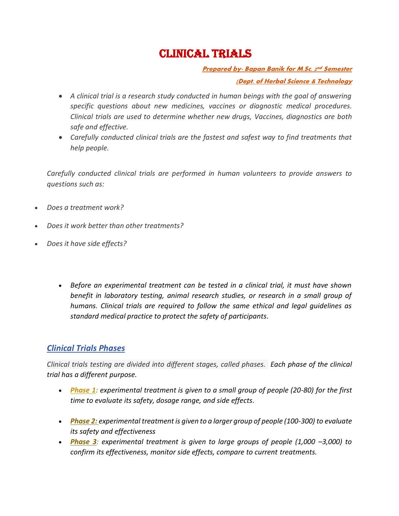## CLINICAL TRIALS

**Prepared by- Bapan Banik for M.Sc. 2 nd Semester (Dept. of Herbal Science & Technology**

- *A clinical trial is a research study conducted in human beings with the goal of answering specific questions about new medicines, vaccines or diagnostic medical procedures. Clinical trials are used to determine whether new drugs, Vaccines, diagnostics are both safe and effective.*
- *Carefully conducted clinical trials are the fastest and safest way to find treatments that help people.*

*Carefully conducted clinical trials are performed in human volunteers to provide answers to questions such as:*

- *Does a treatment work?*
- *Does it work better than other treatments?*
- *Does it have side effects?*
	- *Before an experimental treatment can be tested in a clinical trial, it must have shown benefit in laboratory testing, animal research studies, or research in a small group of humans. Clinical trials are required to follow the same ethical and legal guidelines as standard medical practice to protect the safety of participants.*

## *Clinical Trials Phases*

*Clinical trials testing are divided into different stages, called phases. Each phase of the clinical trial has a different purpose.*

- *Phase 1: experimental treatment is given to a small group of people (20-80) for the first time to evaluate its safety, dosage range, and side effects.*
- *Phase 2: experimental treatment is given to a larger group of people (100-300) to evaluate its safety and effectiveness*
- *Phase 3: experimental treatment is given to large groups of people (1,000 –3,000) to confirm its effectiveness, monitor side effects, compare to current treatments.*